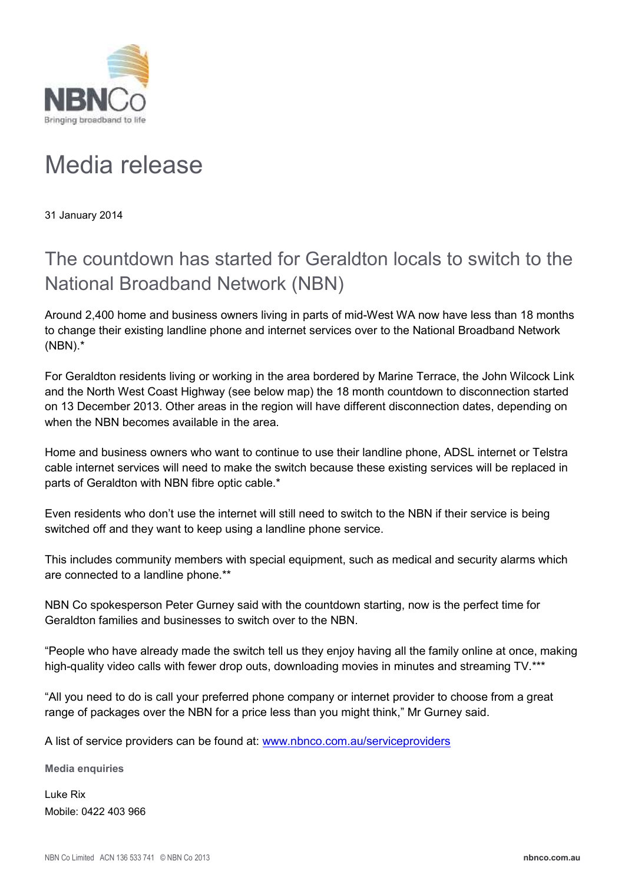

## Media release

31 January 2014

## The countdown has started for Geraldton locals to switch to the National Broadband Network (NBN)

Around 2,400 home and business owners living in parts of mid-West WA now have less than 18 months to change their existing landline phone and internet services over to the National Broadband Network (NBN).\*

For Geraldton residents living or working in the area bordered by Marine Terrace, the John Wilcock Link and the North West Coast Highway (see below map) the 18 month countdown to disconnection started on 13 December 2013. Other areas in the region will have different disconnection dates, depending on when the NBN becomes available in the area.

Home and business owners who want to continue to use their landline phone, ADSL internet or Telstra cable internet services will need to make the switch because these existing services will be replaced in parts of Geraldton with NBN fibre optic cable.\*

Even residents who don't use the internet will still need to switch to the NBN if their service is being switched off and they want to keep using a landline phone service.

This includes community members with special equipment, such as medical and security alarms which are connected to a landline phone.\*\*

NBN Co spokesperson Peter Gurney said with the countdown starting, now is the perfect time for Geraldton families and businesses to switch over to the NBN.

"People who have already made the switch tell us they enjoy having all the family online at once, making high-quality video calls with fewer drop outs, downloading movies in minutes and streaming TV.\*\*\*

"All you need to do is call your preferred phone company or internet provider to choose from a great range of packages over the NBN for a price less than you might think," Mr Gurney said.

A list of service providers can be found at: www.nbnco.com.au/serviceproviders

**Media enquiries**

Luke Rix Mobile: 0422 403 966